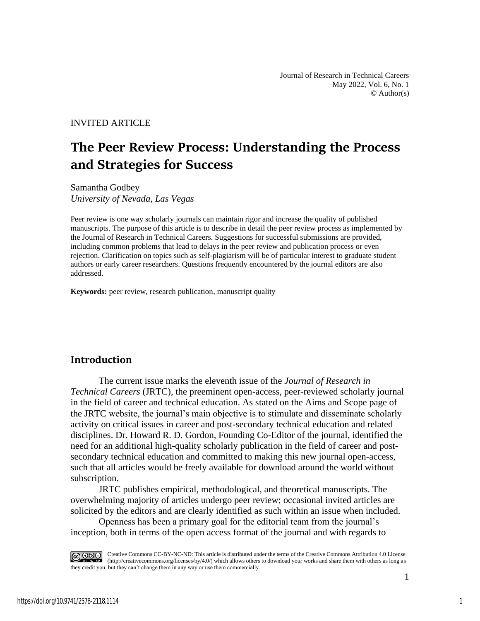Journal of Research in Technical Careers May 2022, Vol. 6, No. 1  $\odot$  Author(s)

INVITED ARTICLE

# **The Peer Review Process: Understanding the Process and Strategies for Success**

Samantha Godbey *University of Nevada, Las Vegas*

Peer review is one way scholarly journals can maintain rigor and increase the quality of published manuscripts. The purpose of this article is to describe in detail the peer review process as implemented by the Journal of Research in Technical Careers. Suggestions for successful submissions are provided, including common problems that lead to delays in the peer review and publication process or even rejection. Clarification on topics such as self-plagiarism will be of particular interest to graduate student authors or early career researchers. Questions frequently encountered by the journal editors are also addressed.

**Keywords:** peer review, research publication, manuscript quality

# **Introduction**

The current issue marks the eleventh issue of the *Journal of Research in Technical Careers* (JRTC), the preeminent open-access, peer-reviewed scholarly journal in the field of career and technical education. As stated on the Aims and Scope page of the JRTC website, the journal's main objective is to stimulate and disseminate scholarly activity on critical issues in career and post-secondary technical education and related disciplines. Dr. Howard R. D. Gordon, Founding Co-Editor of the journal, identified the need for an additional high-quality scholarly publication in the field of career and postsecondary technical education and committed to making this new journal open-access, such that all articles would be freely available for download around the world without subscription.

JRTC publishes empirical, methodological, and theoretical manuscripts. The overwhelming majority of articles undergo peer review; occasional invited articles are solicited by the editors and are clearly identified as such within an issue when included.

Openness has been a primary goal for the editorial team from the journal's inception, both in terms of the open access format of the journal and with regards to

Creative Commons CC-BY-NC-ND: This article is distributed under the terms of the Creative Commons Attribution 4.0 License (http://creativecommons.org/licenses/by/4.0/) which allows others to download your works and share them with others as long as they credit you, but they can't change them in any way or use them commercially.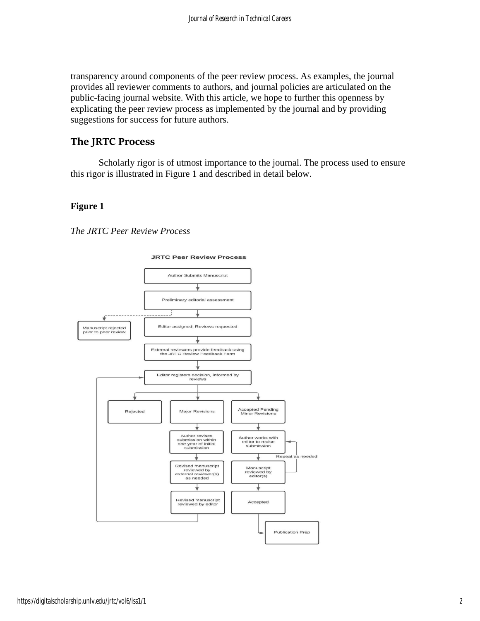transparency around components of the peer review process. As examples, the journal provides all reviewer comments to authors, and journal policies are articulated on the public-facing journal website. With this article, we hope to further this openness by explicating the peer review process as implemented by the journal and by providing suggestions for success for future authors.

# **The JRTC Process**

Scholarly rigor is of utmost importance to the journal. The process used to ensure this rigor is illustrated in Figure 1 and described in detail below.

### **Figure 1**

*The JRTC Peer Review Process*



#### **JRTC Peer Review Process**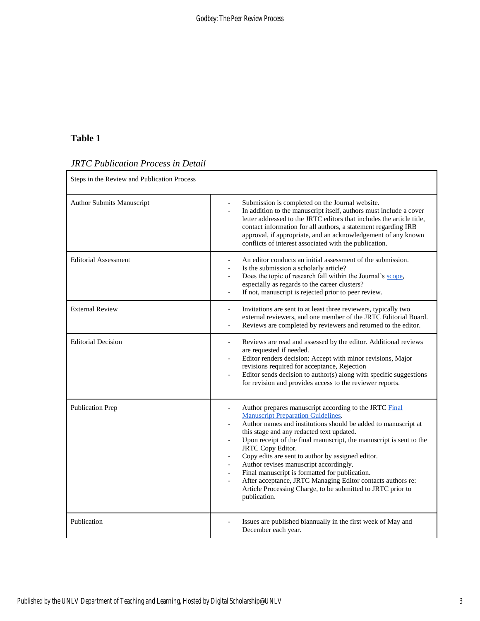# **Table 1**

# *JRTC Publication Process in Detail*

| Steps in the Review and Publication Process |                                                                                                                                                                                                                                                                                                                                                                                                                                                                                                                                                                                                                                                                                                                                       |
|---------------------------------------------|---------------------------------------------------------------------------------------------------------------------------------------------------------------------------------------------------------------------------------------------------------------------------------------------------------------------------------------------------------------------------------------------------------------------------------------------------------------------------------------------------------------------------------------------------------------------------------------------------------------------------------------------------------------------------------------------------------------------------------------|
| <b>Author Submits Manuscript</b>            | Submission is completed on the Journal website.<br>$\overline{a}$<br>In addition to the manuscript itself, authors must include a cover<br>$\overline{a}$<br>letter addressed to the JRTC editors that includes the article title,<br>contact information for all authors, a statement regarding IRB<br>approval, if appropriate, and an acknowledgement of any known<br>conflicts of interest associated with the publication.                                                                                                                                                                                                                                                                                                       |
| <b>Editorial Assessment</b>                 | An editor conducts an initial assessment of the submission.<br>Is the submission a scholarly article?<br>$\overline{a}$<br>Does the topic of research fall within the Journal's scope,<br>$\overline{a}$<br>especially as regards to the career clusters?<br>If not, manuscript is rejected prior to peer review.<br>$\overline{\phantom{0}}$                                                                                                                                                                                                                                                                                                                                                                                         |
| <b>External Review</b>                      | Invitations are sent to at least three reviewers, typically two<br>$\overline{\phantom{0}}$<br>external reviewers, and one member of the JRTC Editorial Board.<br>Reviews are completed by reviewers and returned to the editor.                                                                                                                                                                                                                                                                                                                                                                                                                                                                                                      |
| <b>Editorial Decision</b>                   | Reviews are read and assessed by the editor. Additional reviews<br>$\overline{\phantom{0}}$<br>are requested if needed.<br>Editor renders decision: Accept with minor revisions, Major<br>$\overline{a}$<br>revisions required for acceptance, Rejection<br>Editor sends decision to author(s) along with specific suggestions<br>$\overline{a}$<br>for revision and provides access to the reviewer reports.                                                                                                                                                                                                                                                                                                                         |
| <b>Publication Prep</b>                     | Author prepares manuscript according to the JRTC Final<br><b>Manuscript Preparation Guidelines.</b><br>Author names and institutions should be added to manuscript at<br>this stage and any redacted text updated.<br>Upon receipt of the final manuscript, the manuscript is sent to the<br>$\overline{\phantom{0}}$<br>JRTC Copy Editor.<br>Copy edits are sent to author by assigned editor.<br>$\overline{\phantom{a}}$<br>Author revises manuscript accordingly.<br>$\overline{\phantom{a}}$<br>Final manuscript is formatted for publication.<br>$\overline{a}$<br>After acceptance, JRTC Managing Editor contacts authors re:<br>$\overline{a}$<br>Article Processing Charge, to be submitted to JRTC prior to<br>publication. |
| Publication                                 | Issues are published biannually in the first week of May and<br>December each year.                                                                                                                                                                                                                                                                                                                                                                                                                                                                                                                                                                                                                                                   |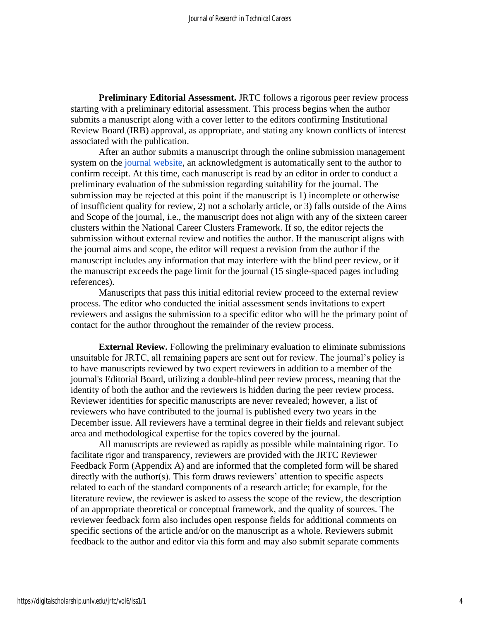**Preliminary Editorial Assessment.** JRTC follows a rigorous peer review process starting with a preliminary editorial assessment. This process begins when the author submits a manuscript along with a cover letter to the editors confirming Institutional Review Board (IRB) approval, as appropriate, and stating any known conflicts of interest associated with the publication.

After an author submits a manuscript through the online submission management system on the [journal website,](https://digitalscholarship.unlv.edu/jrtc/) an acknowledgment is automatically sent to the author to confirm receipt. At this time, each manuscript is read by an editor in order to conduct a preliminary evaluation of the submission regarding suitability for the journal. The submission may be rejected at this point if the manuscript is 1) incomplete or otherwise of insufficient quality for review, 2) not a scholarly article, or 3) falls outside of the Aims and Scope of the journal, i.e., the manuscript does not align with any of the sixteen career clusters within the National Career Clusters Framework. If so, the editor rejects the submission without external review and notifies the author. If the manuscript aligns with the journal aims and scope, the editor will request a revision from the author if the manuscript includes any information that may interfere with the blind peer review, or if the manuscript exceeds the page limit for the journal (15 single-spaced pages including references).

Manuscripts that pass this initial editorial review proceed to the external review process. The editor who conducted the initial assessment sends invitations to expert reviewers and assigns the submission to a specific editor who will be the primary point of contact for the author throughout the remainder of the review process.

**External Review.** Following the preliminary evaluation to eliminate submissions unsuitable for JRTC, all remaining papers are sent out for review. The journal's policy is to have manuscripts reviewed by two expert reviewers in addition to a member of the journal's Editorial Board, utilizing a double-blind peer review process, meaning that the identity of both the author and the reviewers is hidden during the peer review process. Reviewer identities for specific manuscripts are never revealed; however, a list of reviewers who have contributed to the journal is published every two years in the December issue. All reviewers have a terminal degree in their fields and relevant subject area and methodological expertise for the topics covered by the journal.

All manuscripts are reviewed as rapidly as possible while maintaining rigor. To facilitate rigor and transparency, reviewers are provided with the JRTC Reviewer Feedback Form (Appendix A) and are informed that the completed form will be shared directly with the author(s). This form draws reviewers' attention to specific aspects related to each of the standard components of a research article; for example, for the literature review, the reviewer is asked to assess the scope of the review, the description of an appropriate theoretical or conceptual framework, and the quality of sources. The reviewer feedback form also includes open response fields for additional comments on specific sections of the article and/or on the manuscript as a whole. Reviewers submit feedback to the author and editor via this form and may also submit separate comments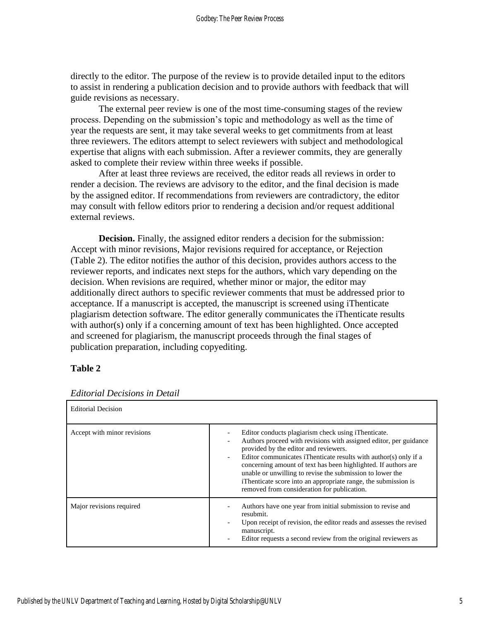directly to the editor. The purpose of the review is to provide detailed input to the editors to assist in rendering a publication decision and to provide authors with feedback that will guide revisions as necessary.

The external peer review is one of the most time-consuming stages of the review process. Depending on the submission's topic and methodology as well as the time of year the requests are sent, it may take several weeks to get commitments from at least three reviewers. The editors attempt to select reviewers with subject and methodological expertise that aligns with each submission. After a reviewer commits, they are generally asked to complete their review within three weeks if possible.

After at least three reviews are received, the editor reads all reviews in order to render a decision. The reviews are advisory to the editor, and the final decision is made by the assigned editor. If recommendations from reviewers are contradictory, the editor may consult with fellow editors prior to rendering a decision and/or request additional external reviews.

**Decision.** Finally, the assigned editor renders a decision for the submission: Accept with minor revisions, Major revisions required for acceptance, or Rejection (Table 2). The editor notifies the author of this decision, provides authors access to the reviewer reports, and indicates next steps for the authors, which vary depending on the decision. When revisions are required, whether minor or major, the editor may additionally direct authors to specific reviewer comments that must be addressed prior to acceptance. If a manuscript is accepted, the manuscript is screened using iThenticate plagiarism detection software. The editor generally communicates the iThenticate results with author(s) only if a concerning amount of text has been highlighted. Once accepted and screened for plagiarism, the manuscript proceeds through the final stages of publication preparation, including copyediting.

#### **Table 2**

| <b>Editorial Decision</b>   |                                                                                                                                                                                                                                                                                                                                                                                                                                                                                       |
|-----------------------------|---------------------------------------------------------------------------------------------------------------------------------------------------------------------------------------------------------------------------------------------------------------------------------------------------------------------------------------------------------------------------------------------------------------------------------------------------------------------------------------|
| Accept with minor revisions | Editor conducts plagiarism check using iThenticate.<br>Authors proceed with revisions with assigned editor, per guidance<br>provided by the editor and reviewers.<br>Editor communicates iThenticate results with author(s) only if a<br>concerning amount of text has been highlighted. If authors are<br>unable or unwilling to revise the submission to lower the<br>iThenticate score into an appropriate range, the submission is<br>removed from consideration for publication. |
| Major revisions required    | Authors have one year from initial submission to revise and<br>resubmit.<br>Upon receipt of revision, the editor reads and assesses the revised<br>manuscript.<br>Editor requests a second review from the original reviewers as                                                                                                                                                                                                                                                      |

*Editorial Decisions in Detail*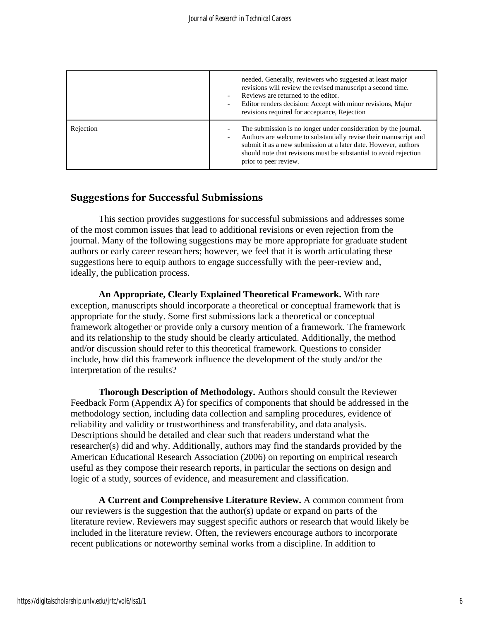|           | needed. Generally, reviewers who suggested at least major<br>revisions will review the revised manuscript a second time.<br>Reviews are returned to the editor.<br>Editor renders decision: Accept with minor revisions, Major<br>revisions required for acceptance, Rejection                       |
|-----------|------------------------------------------------------------------------------------------------------------------------------------------------------------------------------------------------------------------------------------------------------------------------------------------------------|
| Rejection | The submission is no longer under consideration by the journal.<br>Authors are welcome to substantially revise their manuscript and<br>submit it as a new submission at a later date. However, authors<br>should note that revisions must be substantial to avoid rejection<br>prior to peer review. |

# **Suggestions for Successful Submissions**

This section provides suggestions for successful submissions and addresses some of the most common issues that lead to additional revisions or even rejection from the journal. Many of the following suggestions may be more appropriate for graduate student authors or early career researchers; however, we feel that it is worth articulating these suggestions here to equip authors to engage successfully with the peer-review and, ideally, the publication process.

**An Appropriate, Clearly Explained Theoretical Framework.** With rare exception, manuscripts should incorporate a theoretical or conceptual framework that is appropriate for the study. Some first submissions lack a theoretical or conceptual framework altogether or provide only a cursory mention of a framework. The framework and its relationship to the study should be clearly articulated. Additionally, the method and/or discussion should refer to this theoretical framework. Questions to consider include, how did this framework influence the development of the study and/or the interpretation of the results?

**Thorough Description of Methodology.** Authors should consult the Reviewer Feedback Form (Appendix A) for specifics of components that should be addressed in the methodology section, including data collection and sampling procedures, evidence of reliability and validity or trustworthiness and transferability, and data analysis. Descriptions should be detailed and clear such that readers understand what the researcher(s) did and why. Additionally, authors may find the standards provided by the American Educational Research Association (2006) on reporting on empirical research useful as they compose their research reports, in particular the sections on design and logic of a study, sources of evidence, and measurement and classification.

**A Current and Comprehensive Literature Review.** A common comment from our reviewers is the suggestion that the author(s) update or expand on parts of the literature review. Reviewers may suggest specific authors or research that would likely be included in the literature review. Often, the reviewers encourage authors to incorporate recent publications or noteworthy seminal works from a discipline. In addition to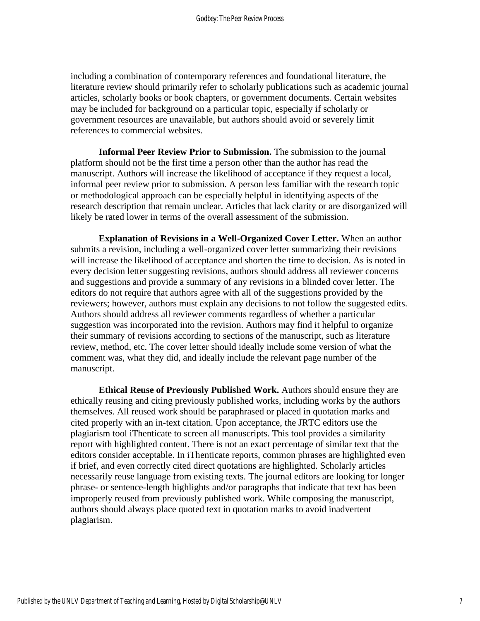including a combination of contemporary references and foundational literature, the literature review should primarily refer to scholarly publications such as academic journal articles, scholarly books or book chapters, or government documents. Certain websites may be included for background on a particular topic, especially if scholarly or government resources are unavailable, but authors should avoid or severely limit references to commercial websites.

**Informal Peer Review Prior to Submission.** The submission to the journal platform should not be the first time a person other than the author has read the manuscript. Authors will increase the likelihood of acceptance if they request a local, informal peer review prior to submission. A person less familiar with the research topic or methodological approach can be especially helpful in identifying aspects of the research description that remain unclear. Articles that lack clarity or are disorganized will likely be rated lower in terms of the overall assessment of the submission.

**Explanation of Revisions in a Well-Organized Cover Letter.** When an author submits a revision, including a well-organized cover letter summarizing their revisions will increase the likelihood of acceptance and shorten the time to decision. As is noted in every decision letter suggesting revisions, authors should address all reviewer concerns and suggestions and provide a summary of any revisions in a blinded cover letter. The editors do not require that authors agree with all of the suggestions provided by the reviewers; however, authors must explain any decisions to not follow the suggested edits. Authors should address all reviewer comments regardless of whether a particular suggestion was incorporated into the revision. Authors may find it helpful to organize their summary of revisions according to sections of the manuscript, such as literature review, method, etc. The cover letter should ideally include some version of what the comment was, what they did, and ideally include the relevant page number of the manuscript.

**Ethical Reuse of Previously Published Work.** Authors should ensure they are ethically reusing and citing previously published works, including works by the authors themselves. All reused work should be paraphrased or placed in quotation marks and cited properly with an in-text citation. Upon acceptance, the JRTC editors use the plagiarism tool iThenticate to screen all manuscripts. This tool provides a similarity report with highlighted content. There is not an exact percentage of similar text that the editors consider acceptable. In iThenticate reports, common phrases are highlighted even if brief, and even correctly cited direct quotations are highlighted. Scholarly articles necessarily reuse language from existing texts. The journal editors are looking for longer phrase- or sentence-length highlights and/or paragraphs that indicate that text has been improperly reused from previously published work. While composing the manuscript, authors should always place quoted text in quotation marks to avoid inadvertent plagiarism.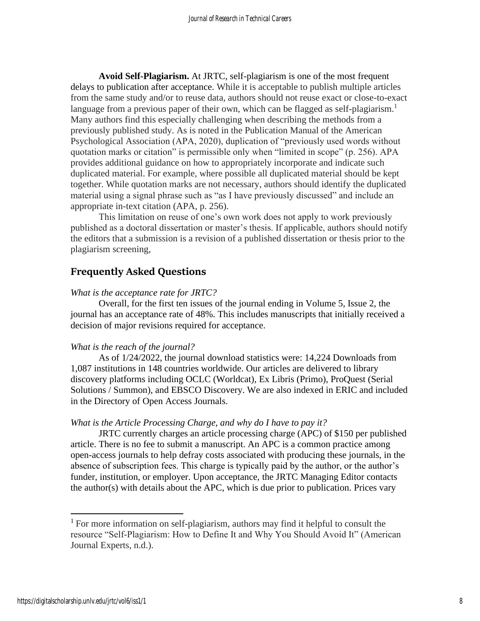**Avoid Self-Plagiarism.** At JRTC, self-plagiarism is one of the most frequent delays to publication after acceptance. While it is acceptable to publish multiple articles from the same study and/or to reuse data, authors should not reuse exact or close-to-exact language from a previous paper of their own, which can be flagged as self-plagiarism.<sup>1</sup> Many authors find this especially challenging when describing the methods from a previously published study. As is noted in the Publication Manual of the American Psychological Association (APA, 2020), duplication of "previously used words without quotation marks or citation" is permissible only when "limited in scope" (p. 256). APA provides additional guidance on how to appropriately incorporate and indicate such duplicated material. For example, where possible all duplicated material should be kept together. While quotation marks are not necessary, authors should identify the duplicated material using a signal phrase such as "as I have previously discussed" and include an appropriate in-text citation (APA, p. 256).

This limitation on reuse of one's own work does not apply to work previously published as a doctoral dissertation or master's thesis. If applicable, authors should notify the editors that a submission is a revision of a published dissertation or thesis prior to the plagiarism screening,

# **Frequently Asked Questions**

#### *What is the acceptance rate for JRTC?*

Overall, for the first ten issues of the journal ending in Volume 5, Issue 2, the journal has an acceptance rate of 48%. This includes manuscripts that initially received a decision of major revisions required for acceptance.

#### *What is the reach of the journal?*

As of 1/24/2022, the journal download statistics were: 14,224 Downloads from 1,087 institutions in 148 countries worldwide. Our articles are delivered to library discovery platforms including OCLC (Worldcat), Ex Libris (Primo), ProQuest (Serial Solutions / Summon), and EBSCO Discovery. We are also indexed in ERIC and included in the Directory of Open Access Journals.

#### *What is the Article Processing Charge, and why do I have to pay it?*

JRTC currently charges an article processing charge (APC) of \$150 per published article. There is no fee to submit a manuscript. An APC is a common practice among open-access journals to help defray costs associated with producing these journals, in the absence of subscription fees. This charge is typically paid by the author, or the author's funder, institution, or employer. Upon acceptance, the JRTC Managing Editor contacts the author(s) with details about the APC, which is due prior to publication. Prices vary

<sup>&</sup>lt;sup>1</sup> For more information on self-plagiarism, authors may find it helpful to consult the resource "Self-Plagiarism: How to Define It and Why You Should Avoid It" (American Journal Experts, n.d.).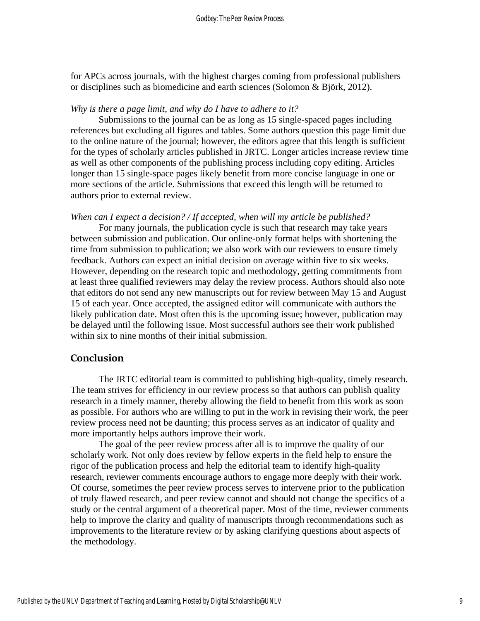for APCs across journals, with the highest charges coming from professional publishers or disciplines such as biomedicine and earth sciences (Solomon & Björk, 2012).

#### *Why is there a page limit, and why do I have to adhere to it?*

Submissions to the journal can be as long as 15 single-spaced pages including references but excluding all figures and tables. Some authors question this page limit due to the online nature of the journal; however, the editors agree that this length is sufficient for the types of scholarly articles published in JRTC. Longer articles increase review time as well as other components of the publishing process including copy editing. Articles longer than 15 single-space pages likely benefit from more concise language in one or more sections of the article. Submissions that exceed this length will be returned to authors prior to external review.

#### *When can I expect a decision? / If accepted, when will my article be published?*

For many journals, the publication cycle is such that research may take years between submission and publication. Our online-only format helps with shortening the time from submission to publication; we also work with our reviewers to ensure timely feedback. Authors can expect an initial decision on average within five to six weeks. However, depending on the research topic and methodology, getting commitments from at least three qualified reviewers may delay the review process. Authors should also note that editors do not send any new manuscripts out for review between May 15 and August 15 of each year. Once accepted, the assigned editor will communicate with authors the likely publication date. Most often this is the upcoming issue; however, publication may be delayed until the following issue. Most successful authors see their work published within six to nine months of their initial submission.

#### **Conclusion**

The JRTC editorial team is committed to publishing high-quality, timely research. The team strives for efficiency in our review process so that authors can publish quality research in a timely manner, thereby allowing the field to benefit from this work as soon as possible. For authors who are willing to put in the work in revising their work, the peer review process need not be daunting; this process serves as an indicator of quality and more importantly helps authors improve their work.

The goal of the peer review process after all is to improve the quality of our scholarly work. Not only does review by fellow experts in the field help to ensure the rigor of the publication process and help the editorial team to identify high-quality research, reviewer comments encourage authors to engage more deeply with their work. Of course, sometimes the peer review process serves to intervene prior to the publication of truly flawed research, and peer review cannot and should not change the specifics of a study or the central argument of a theoretical paper. Most of the time, reviewer comments help to improve the clarity and quality of manuscripts through recommendations such as improvements to the literature review or by asking clarifying questions about aspects of the methodology.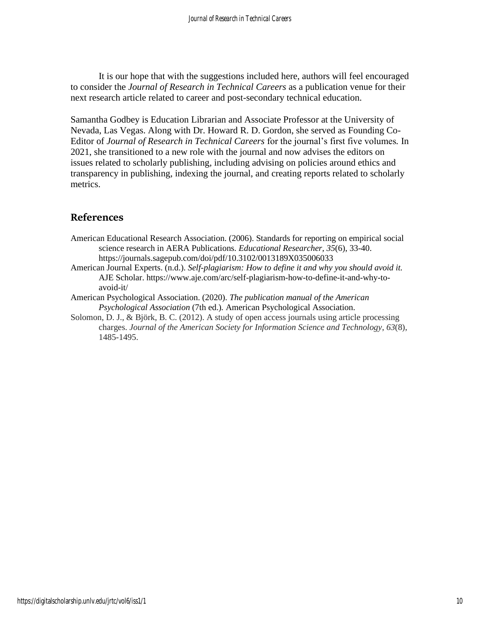It is our hope that with the suggestions included here, authors will feel encouraged to consider the *Journal of Research in Technical Careers* as a publication venue for their next research article related to career and post-secondary technical education.

Samantha Godbey is Education Librarian and Associate Professor at the University of Nevada, Las Vegas. Along with Dr. Howard R. D. Gordon, she served as Founding Co-Editor of *Journal of Research in Technical Careers* for the journal's first five volumes*.* In 2021, she transitioned to a new role with the journal and now advises the editors on issues related to scholarly publishing, including advising on policies around ethics and transparency in publishing, indexing the journal, and creating reports related to scholarly metrics.

## **References**

- American Educational Research Association. (2006). Standards for reporting on empirical social science research in AERA Publications. *Educational Researcher, 35*(6), 33-40. https://journals.sagepub.com/doi/pdf/10.3102/0013189X035006033
- American Journal Experts. (n.d.). *Self-plagiarism: How to define it and why you should avoid it.*  AJE Scholar. https://www.aje.com/arc/self-plagiarism-how-to-define-it-and-why-toavoid-it/
- American Psychological Association. (2020). *The publication manual of the American Psychological Association* (7th ed.)*.* American Psychological Association.
- Solomon, D. J., & Björk, B. C. (2012). A study of open access journals using article processing charges. *Journal of the American Society for Information Science and Technology*, *63*(8), 1485-1495.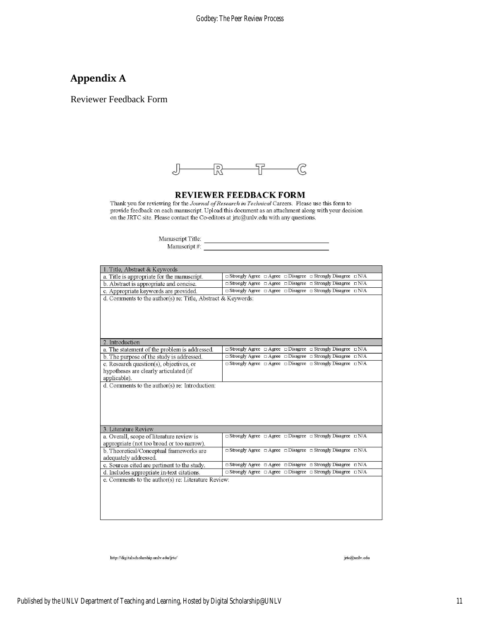# **Appendix A**

Reviewer Feedback Form



**REVIEWER FEEDBACK FORM**<br>Thank you for reviewing for the *Journal of Research in Technical* Careers. Please use this form to<br>provide feedback on each manuscript. Upload this document as an attachment along with your decisi

| Manuscript Title: |  |
|-------------------|--|
| Manuscript#:      |  |

| 1. Title, Abstract & Keywords                                                                     |                                                                                        |
|---------------------------------------------------------------------------------------------------|----------------------------------------------------------------------------------------|
| a. Title is appropriate for the manuscript.                                                       | $\Box$ Strongly Agree $\Box$ Agree $\Box$ Disagree $\Box$ Strongly Disagree $\Box$ N/A |
| b. Abstract is appropriate and concise.                                                           | $\Box$ Strongly Agree $\Box$ Agree $\Box$ Disagree $\Box$ Strongly Disagree $\Box$ N/A |
| c. Appropriate keywords are provided.                                                             | $\Box$ Strongly Agree $\Box$ Agree $\Box$ Disagree $\Box$ Strongly Disagree $\Box$ N/A |
| d. Comments to the author(s) re: Title, Abstract & Keywords:                                      |                                                                                        |
| 2. Introduction                                                                                   |                                                                                        |
| a. The statement of the problem is addressed.                                                     | $\Box$ Strongly Agree $\Box$ Agree $\Box$ Disagree $\Box$ Strongly Disagree $\Box$ N/A |
| b. The purpose of the study is addressed.                                                         | $\Box$ Strongly Agree $\Box$ Agree $\Box$ Disagree $\Box$ Strongly Disagree $\Box$ N/A |
| c. Research question(s), objectives, or<br>hypotheses are clearly articulated (if<br>applicable). | $\Box$ Strongly Agree $\Box$ Agree $\Box$ Disagree $\Box$ Strongly Disagree $\Box$ N/A |
|                                                                                                   |                                                                                        |
| 3. Literature Review                                                                              |                                                                                        |
| a. Overall, scope of literature review is<br>appropriate (not too broad or too narrow).           | $\Box$ Strongly Agree $\Box$ Agree $\Box$ Disagree $\Box$ Strongly Disagree $\Box$ N/A |
| b. Theoretical/Conceptual frameworks are<br>adequately addressed.                                 | □ Strongly Agree □ Agree □ Disagree □ Strongly Disagree □ N/A                          |
| c. Sources cited are pertinent to the study.                                                      | $\Box$ Strongly Agree $\Box$ Agree $\Box$ Disagree $\Box$ Strongly Disagree $\Box$ N/A |
| d. Includes appropriate in-text citations.                                                        | $\Box$ Strongly Agree $\Box$ Agree $\Box$ Disagree $\Box$ Strongly Disagree $\Box$ N/A |
| e. Comments to the author(s) re: Literature Review:                                               |                                                                                        |

 ${\bf http://digitalseholarship. unlv.edu/irte/}$ 

jrte@unlv.edu